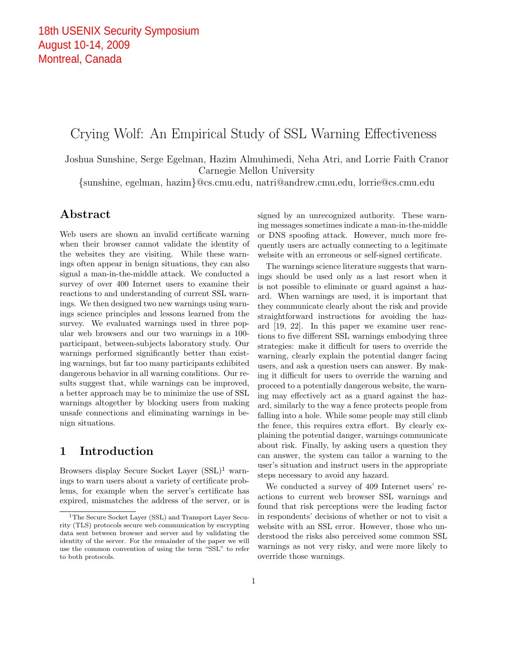# Crying Wolf: An Empirical Study of SSL Warning Effectiveness

Joshua Sunshine, Serge Egelman, Hazim Almuhimedi, Neha Atri, and Lorrie Faith Cranor Carnegie Mellon University

*{*sunshine, egelman, hazim*}*@cs.cmu.edu, natri@andrew.cmu.edu, lorrie@cs.cmu.edu

# Abstract

Web users are shown an invalid certificate warning when their browser cannot validate the identity of the websites they are visiting. While these warnings often appear in benign situations, they can also signal a man-in-the-middle attack. We conducted a survey of over 400 Internet users to examine their reactions to and understanding of current SSL warnings. We then designed two new warnings using warnings science principles and lessons learned from the survey. We evaluated warnings used in three popular web browsers and our two warnings in a 100 participant, between-subjects laboratory study. Our warnings performed significantly better than existing warnings, but far too many participants exhibited dangerous behavior in all warning conditions. Our results suggest that, while warnings can be improved, a better approach may be to minimize the use of SSL warnings altogether by blocking users from making unsafe connections and eliminating warnings in benign situations.

# 1 Introduction

Browsers display Secure Socket Layer  $(SSL)^1$  warnings to warn users about a variety of certificate problems, for example when the server's certificate has expired, mismatches the address of the server, or is signed by an unrecognized authority. These warning messages sometimes indicate a man-in-the-middle or DNS spoofing attack. However, much more frequently users are actually connecting to a legitimate website with an erroneous or self-signed certificate.

The warnings science literature suggests that warnings should be used only as a last resort when it is not possible to eliminate or guard against a hazard. When warnings are used, it is important that they communicate clearly about the risk and provide straightforward instructions for avoiding the hazard [19, 22]. In this paper we examine user reactions to five different SSL warnings embodying three strategies: make it difficult for users to override the warning, clearly explain the potential danger facing users, and ask a question users can answer. By making it difficult for users to override the warning and proceed to a potentially dangerous website, the warning may effectively act as a guard against the hazard, similarly to the way a fence protects people from falling into a hole. While some people may still climb the fence, this requires extra effort. By clearly explaining the potential danger, warnings communicate about risk. Finally, by asking users a question they can answer, the system can tailor a warning to the user's situation and instruct users in the appropriate steps necessary to avoid any hazard.

We conducted a survey of 409 Internet users' reactions to current web browser SSL warnings and found that risk perceptions were the leading factor in respondents' decisions of whether or not to visit a website with an SSL error. However, those who understood the risks also perceived some common SSL warnings as not very risky, and were more likely to override those warnings.

<sup>&</sup>lt;sup>1</sup>The Secure Socket Layer (SSL) and Transport Layer Security (TLS) protocols secure web communication by encrypting data sent between browser and server and by validating the identity of the server. For the remainder of the paper we will use the common convention of using the term "SSL" to refer to both protocols.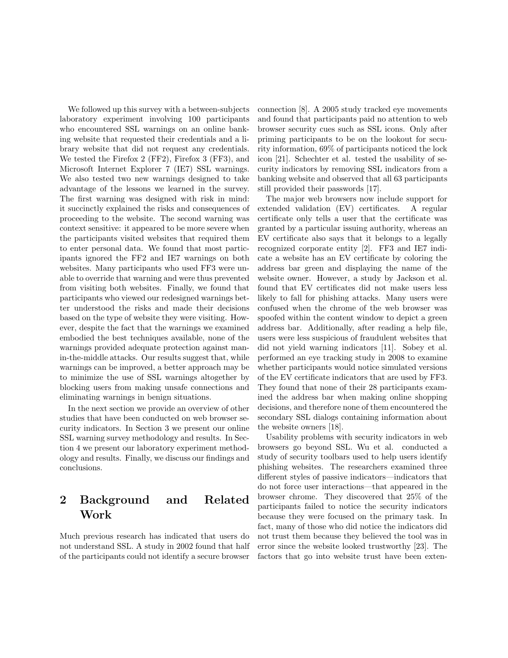We followed up this survey with a between-subjects laboratory experiment involving 100 participants who encountered SSL warnings on an online banking website that requested their credentials and a library website that did not request any credentials. We tested the Firefox 2 (FF2), Firefox 3 (FF3), and Microsoft Internet Explorer 7 (IE7) SSL warnings. We also tested two new warnings designed to take advantage of the lessons we learned in the survey. The first warning was designed with risk in mind: it succinctly explained the risks and consequences of proceeding to the website. The second warning was context sensitive: it appeared to be more severe when the participants visited websites that required them to enter personal data. We found that most participants ignored the FF2 and IE7 warnings on both websites. Many participants who used FF3 were unable to override that warning and were thus prevented from visiting both websites. Finally, we found that participants who viewed our redesigned warnings better understood the risks and made their decisions based on the type of website they were visiting. However, despite the fact that the warnings we examined embodied the best techniques available, none of the warnings provided adequate protection against manin-the-middle attacks. Our results suggest that, while warnings can be improved, a better approach may be to minimize the use of SSL warnings altogether by blocking users from making unsafe connections and eliminating warnings in benign situations.

In the next section we provide an overview of other studies that have been conducted on web browser security indicators. In Section 3 we present our online SSL warning survey methodology and results. In Section 4 we present our laboratory experiment methodology and results. Finally, we discuss our findings and conclusions.

# 2 Background and Related Work

Much previous research has indicated that users do not understand SSL. A study in 2002 found that half of the participants could not identify a secure browser

connection [8]. A 2005 study tracked eye movements and found that participants paid no attention to web browser security cues such as SSL icons. Only after priming participants to be on the lookout for security information, 69% of participants noticed the lock icon [21]. Schechter et al. tested the usability of security indicators by removing SSL indicators from a banking website and observed that all 63 participants still provided their passwords [17].

The major web browsers now include support for extended validation (EV) certificates. A regular certificate only tells a user that the certificate was granted by a particular issuing authority, whereas an EV certificate also says that it belongs to a legally recognized corporate entity [2]. FF3 and IE7 indicate a website has an EV certificate by coloring the address bar green and displaying the name of the website owner. However, a study by Jackson et al. found that EV certificates did not make users less likely to fall for phishing attacks. Many users were confused when the chrome of the web browser was spoofed within the content window to depict a green address bar. Additionally, after reading a help file, users were less suspicious of fraudulent websites that did not yield warning indicators [11]. Sobey et al. performed an eye tracking study in 2008 to examine whether participants would notice simulated versions of the EV certificate indicators that are used by FF3. They found that none of their 28 participants examined the address bar when making online shopping decisions, and therefore none of them encountered the secondary SSL dialogs containing information about the website owners [18].

Usability problems with security indicators in web browsers go beyond SSL. Wu et al. conducted a study of security toolbars used to help users identify phishing websites. The researchers examined three different styles of passive indicators—indicators that do not force user interactions—that appeared in the browser chrome. They discovered that 25% of the participants failed to notice the security indicators because they were focused on the primary task. In fact, many of those who did notice the indicators did not trust them because they believed the tool was in error since the website looked trustworthy [23]. The factors that go into website trust have been exten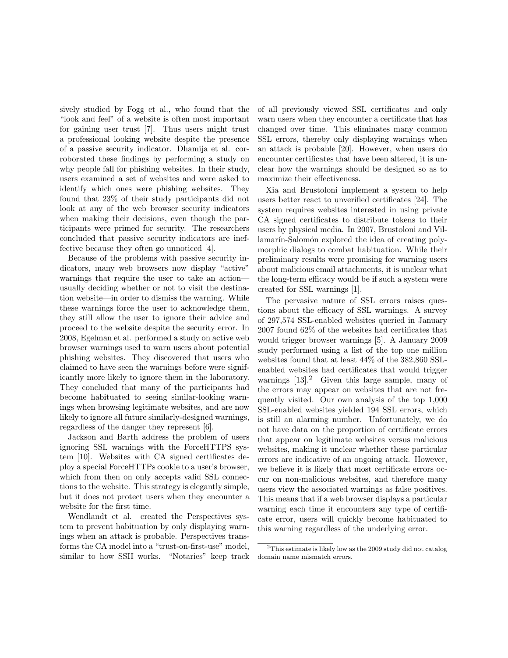sively studied by Fogg et al., who found that the "look and feel" of a website is often most important for gaining user trust [7]. Thus users might trust a professional looking website despite the presence of a passive security indicator. Dhamija et al. corroborated these findings by performing a study on why people fall for phishing websites. In their study, users examined a set of websites and were asked to identify which ones were phishing websites. They found that 23% of their study participants did not look at any of the web browser security indicators when making their decisions, even though the participants were primed for security. The researchers concluded that passive security indicators are ineffective because they often go unnoticed [4].

Because of the problems with passive security indicators, many web browsers now display "active" warnings that require the user to take an action usually deciding whether or not to visit the destination website—in order to dismiss the warning. While these warnings force the user to acknowledge them, they still allow the user to ignore their advice and proceed to the website despite the security error. In 2008, Egelman et al. performed a study on active web browser warnings used to warn users about potential phishing websites. They discovered that users who claimed to have seen the warnings before were significantly more likely to ignore them in the laboratory. They concluded that many of the participants had become habituated to seeing similar-looking warnings when browsing legitimate websites, and are now likely to ignore all future similarly-designed warnings, regardless of the danger they represent [6].

Jackson and Barth address the problem of users ignoring SSL warnings with the ForceHTTPS system [10]. Websites with CA signed certificates deploy a special ForceHTTPs cookie to a user's browser, which from then on only accepts valid SSL connections to the website. This strategy is elegantly simple, but it does not protect users when they encounter a website for the first time.

Wendlandt et al. created the Perspectives system to prevent habituation by only displaying warnings when an attack is probable. Perspectives transforms the CA model into a "trust-on-first-use" model, similar to how SSH works. "Notaries" keep track of all previously viewed SSL certificates and only warn users when they encounter a certificate that has changed over time. This eliminates many common SSL errors, thereby only displaying warnings when an attack is probable [20]. However, when users do encounter certificates that have been altered, it is unclear how the warnings should be designed so as to maximize their effectiveness.

Xia and Brustoloni implement a system to help users better react to unverified certificates [24]. The system requires websites interested in using private CA signed certificates to distribute tokens to their users by physical media. In 2007, Brustoloni and Villamarín-Salomón explored the idea of creating polymorphic dialogs to combat habituation. While their preliminary results were promising for warning users about malicious email attachments, it is unclear what the long-term efficacy would be if such a system were created for SSL warnings [1].

The pervasive nature of SSL errors raises questions about the efficacy of SSL warnings. A survey of 297,574 SSL-enabled websites queried in January 2007 found 62% of the websites had certificates that would trigger browser warnings [5]. A January 2009 study performed using a list of the top one million websites found that at least 44% of the 382,860 SSLenabled websites had certificates that would trigger warnings  $[13]$ <sup>2</sup> Given this large sample, many of the errors may appear on websites that are not frequently visited. Our own analysis of the top 1,000 SSL-enabled websites yielded 194 SSL errors, which is still an alarming number. Unfortunately, we do not have data on the proportion of certificate errors that appear on legitimate websites versus malicious websites, making it unclear whether these particular errors are indicative of an ongoing attack. However, we believe it is likely that most certificate errors occur on non-malicious websites, and therefore many users view the associated warnings as false positives. This means that if a web browser displays a particular warning each time it encounters any type of certificate error, users will quickly become habituated to this warning regardless of the underlying error.

<sup>2</sup>This estimate is likely low as the 2009 study did not catalog domain name mismatch errors.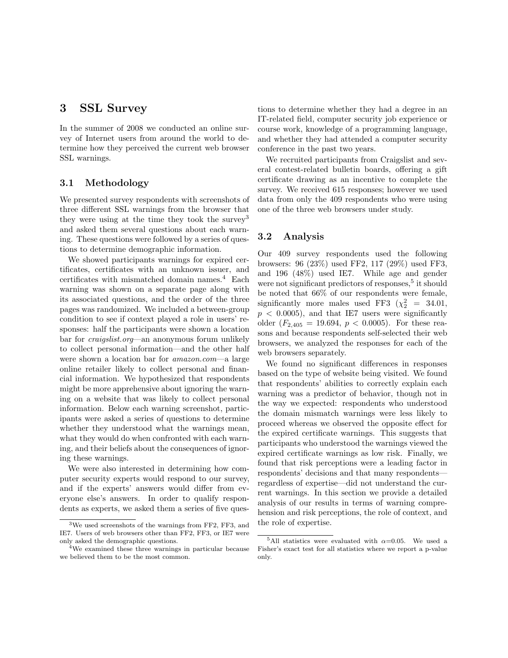# 3 SSL Survey

In the summer of 2008 we conducted an online survey of Internet users from around the world to determine how they perceived the current web browser SSL warnings.

## 3.1 Methodology

We presented survey respondents with screenshots of three different SSL warnings from the browser that they were using at the time they took the survey<sup>3</sup> and asked them several questions about each warning. These questions were followed by a series of questions to determine demographic information.

We showed participants warnings for expired certificates, certificates with an unknown issuer, and certificates with mismatched domain names.<sup>4</sup> Each warning was shown on a separate page along with its associated questions, and the order of the three pages was randomized. We included a between-group condition to see if context played a role in users' responses: half the participants were shown a location bar for *craigslist.org*—an anonymous forum unlikely to collect personal information—and the other half were shown a location bar for *amazon.com*—a large online retailer likely to collect personal and financial information. We hypothesized that respondents might be more apprehensive about ignoring the warning on a website that was likely to collect personal information. Below each warning screenshot, participants were asked a series of questions to determine whether they understood what the warnings mean, what they would do when confronted with each warning, and their beliefs about the consequences of ignoring these warnings.

We were also interested in determining how computer security experts would respond to our survey, and if the experts' answers would differ from everyone else's answers. In order to qualify respondents as experts, we asked them a series of five questions to determine whether they had a degree in an IT-related field, computer security job experience or course work, knowledge of a programming language, and whether they had attended a computer security conference in the past two years.

We recruited participants from Craigslist and several contest-related bulletin boards, offering a gift certificate drawing as an incentive to complete the survey. We received 615 responses; however we used data from only the 409 respondents who were using one of the three web browsers under study.

## 3.2 Analysis

Our 409 survey respondents used the following browsers: 96 (23%) used FF2, 117 (29%) used FF3, and 196 (48%) used IE7. While age and gender were not significant predictors of responses, $5$  it should be noted that 66% of our respondents were female, significantly more males used FF3  $(\chi^2$  = 34.01,  $p < 0.0005$ , and that IE7 users were significantly older  $(F_{2,405} = 19.694, p < 0.0005)$ . For these reasons and because respondents self-selected their web browsers, we analyzed the responses for each of the web browsers separately.

We found no significant differences in responses based on the type of website being visited. We found that respondents' abilities to correctly explain each warning was a predictor of behavior, though not in the way we expected: respondents who understood the domain mismatch warnings were less likely to proceed whereas we observed the opposite effect for the expired certificate warnings. This suggests that participants who understood the warnings viewed the expired certificate warnings as low risk. Finally, we found that risk perceptions were a leading factor in respondents' decisions and that many respondents regardless of expertise—did not understand the current warnings. In this section we provide a detailed analysis of our results in terms of warning comprehension and risk perceptions, the role of context, and the role of expertise.

<sup>3</sup>We used screenshots of the warnings from FF2, FF3, and IE7. Users of web browsers other than FF2, FF3, or IE7 were only asked the demographic questions.

<sup>&</sup>lt;sup>4</sup>We examined these three warnings in particular because we believed them to be the most common.

<sup>&</sup>lt;sup>5</sup>All statistics were evaluated with  $\alpha$ =0.05. We used a Fisher's exact test for all statistics where we report a p-value only.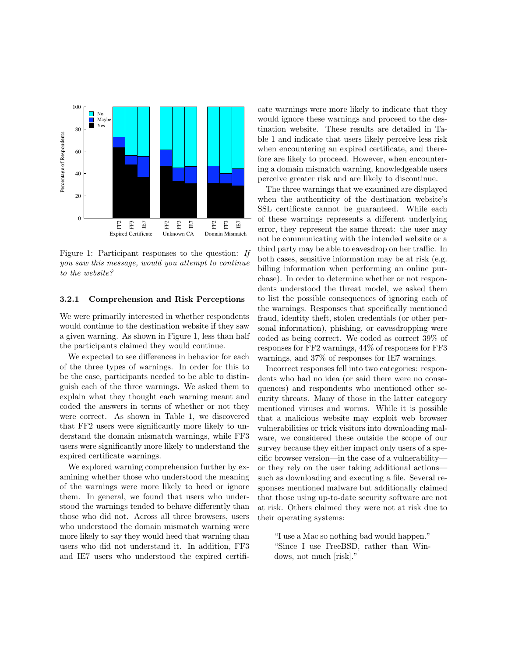

Figure 1: Participant responses to the question: *If you saw this message, would you attempt to continue to the website?*

#### 3.2.1 Comprehension and Risk Perceptions

We were primarily interested in whether respondents would continue to the destination website if they saw a given warning. As shown in Figure 1, less than half the participants claimed they would continue.

We expected to see differences in behavior for each of the three types of warnings. In order for this to be the case, participants needed to be able to distinguish each of the three warnings. We asked them to explain what they thought each warning meant and coded the answers in terms of whether or not they were correct. As shown in Table 1, we discovered that FF2 users were significantly more likely to understand the domain mismatch warnings, while FF3 users were significantly more likely to understand the expired certificate warnings.

We explored warning comprehension further by examining whether those who understood the meaning of the warnings were more likely to heed or ignore them. In general, we found that users who understood the warnings tended to behave differently than those who did not. Across all three browsers, users who understood the domain mismatch warning were more likely to say they would heed that warning than users who did not understand it. In addition, FF3 and IE7 users who understood the expired certificate warnings were more likely to indicate that they would ignore these warnings and proceed to the destination website. These results are detailed in Table 1 and indicate that users likely perceive less risk when encountering an expired certificate, and therefore are likely to proceed. However, when encountering a domain mismatch warning, knowledgeable users perceive greater risk and are likely to discontinue.

The three warnings that we examined are displayed when the authenticity of the destination website's SSL certificate cannot be guaranteed. While each of these warnings represents a different underlying error, they represent the same threat: the user may not be communicating with the intended website or a third party may be able to eavesdrop on her traffic. In both cases, sensitive information may be at risk (e.g. billing information when performing an online purchase). In order to determine whether or not respondents understood the threat model, we asked them to list the possible consequences of ignoring each of the warnings. Responses that specifically mentioned fraud, identity theft, stolen credentials (or other personal information), phishing, or eavesdropping were coded as being correct. We coded as correct 39% of responses for FF2 warnings, 44% of responses for FF3 warnings, and 37% of responses for IE7 warnings.

Incorrect responses fell into two categories: respondents who had no idea (or said there were no consequences) and respondents who mentioned other security threats. Many of those in the latter category mentioned viruses and worms. While it is possible that a malicious website may exploit web browser vulnerabilities or trick visitors into downloading malware, we considered these outside the scope of our survey because they either impact only users of a specific browser version—in the case of a vulnerability or they rely on the user taking additional actions such as downloading and executing a file. Several responses mentioned malware but additionally claimed that those using up-to-date security software are not at risk. Others claimed they were not at risk due to their operating systems:

"I use a Mac so nothing bad would happen." "Since I use FreeBSD, rather than Windows, not much [risk]."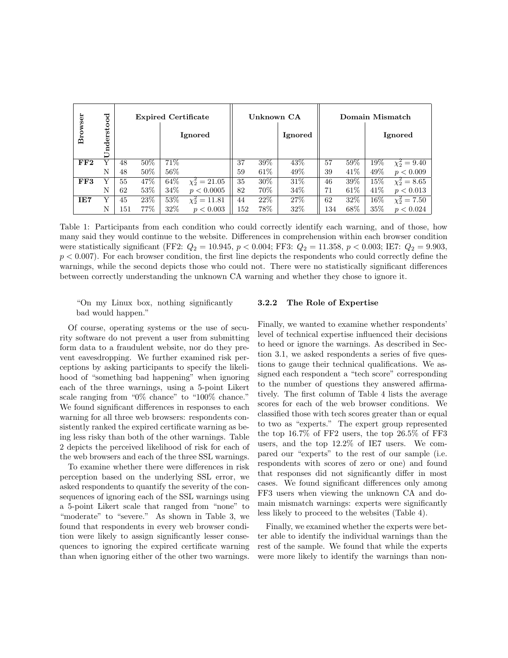|         | ರ            |     |      | <b>Expired Certificate</b> |                    | Unknown CA |      |         | Domain Mismatch |      |      |                     |
|---------|--------------|-----|------|----------------------------|--------------------|------------|------|---------|-----------------|------|------|---------------------|
| Browser | ndersto<br>D |     |      |                            | Ignored            |            |      | Ignored |                 |      |      | Ignored             |
| FF2     | v            | 48  | 50%  | 71\%                       |                    | 37         | 39%  | 43\%    | 57              | 59%  | 19%  | $\chi_2^2 = 9.40$   |
|         | N            | 48  | 50%  | 56\%                       |                    | 59         | 61\% | 49\%    | 39              | 41\% | 49\% | p < 0.009           |
| FF3     | Y            | 55  | 47%  | 64\%                       | $\chi^2_2 = 21.05$ | 35         | 30%  | 31\%    | 46              | 39%  | 15%  | $\chi_2^2 = 8.65$   |
|         | N            | 62  | 53%  | 34\%                       | p < 0.0005         | 82         | 70%  | 34\%    | 71              | 61%  | 41\% | p < 0.013           |
| IE7     | Y            | 45  | 23\% | 53%                        | $\chi_2^2 = 11.81$ | 44         | 22%  | 27%     | 62              | 32%  | 16%  | $\chi^2_{2} = 7.50$ |
|         | N            | 151 | 77%  | 32%                        | p < 0.003          | 152        | 78%  | 32\%    | 134             | 68\% | 35%  | p < 0.024           |

Table 1: Participants from each condition who could correctly identify each warning, and of those, how many said they would continue to the website. Differences in comprehension within each browser condition were statistically significant (FF2:  $Q_2 = 10.945$ ,  $p < 0.004$ ; FF3:  $Q_2 = 11.358$ ,  $p < 0.003$ ; IE7:  $Q_2 = 9.903$ ,  $p < 0.007$ . For each browser condition, the first line depicts the respondents who could correctly define the warnings, while the second depicts those who could not. There were no statistically significant differences between correctly understanding the unknown CA warning and whether they chose to ignore it.

"On my Linux box, nothing significantly bad would happen."

Of course, operating systems or the use of security software do not prevent a user from submitting form data to a fraudulent website, nor do they prevent eavesdropping. We further examined risk perceptions by asking participants to specify the likelihood of "something bad happening" when ignoring each of the three warnings, using a 5-point Likert scale ranging from "0% chance" to "100% chance." We found significant differences in responses to each warning for all three web browsers: respondents consistently ranked the expired certificate warning as being less risky than both of the other warnings. Table 2 depicts the perceived likelihood of risk for each of the web browsers and each of the three SSL warnings.

To examine whether there were differences in risk perception based on the underlying SSL error, we asked respondents to quantify the severity of the consequences of ignoring each of the SSL warnings using a 5-point Likert scale that ranged from "none" to "moderate" to "severe." As shown in Table 3, we found that respondents in every web browser condition were likely to assign significantly lesser consequences to ignoring the expired certificate warning than when ignoring either of the other two warnings.

#### 3.2.2 The Role of Expertise

Finally, we wanted to examine whether respondents' level of technical expertise influenced their decisions to heed or ignore the warnings. As described in Section 3.1, we asked respondents a series of five questions to gauge their technical qualifications. We assigned each respondent a "tech score" corresponding to the number of questions they answered affirmatively. The first column of Table 4 lists the average scores for each of the web browser conditions. We classified those with tech scores greater than or equal to two as "experts." The expert group represented the top 16.7% of FF2 users, the top 26.5% of FF3 users, and the top 12.2% of IE7 users. We compared our "experts" to the rest of our sample (i.e. respondents with scores of zero or one) and found that responses did not significantly differ in most cases. We found significant differences only among FF3 users when viewing the unknown CA and domain mismatch warnings: experts were significantly less likely to proceed to the websites (Table 4).

Finally, we examined whether the experts were better able to identify the individual warnings than the rest of the sample. We found that while the experts were more likely to identify the warnings than non-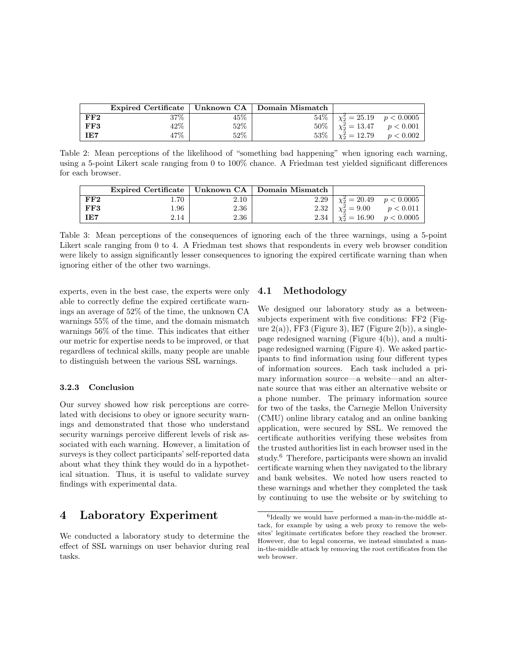|     | Expired Certificate   Unknown CA   Domain Mismatch |        |        |                                          |  |
|-----|----------------------------------------------------|--------|--------|------------------------------------------|--|
| FF2 | $37\%$                                             | 45%    |        | $54\%$   $\chi_2^2 = 25.19$ $p < 0.0005$ |  |
| FF3 | $42\%$                                             | $52\%$ |        | $50\%$   $\chi^2_2 = 13.47$ $p < 0.001$  |  |
| IE7 | $47\%$                                             | 52%    | $53\%$ | $\chi_2^2 = 12.79$ $p < 0.002$           |  |

Table 2: Mean perceptions of the likelihood of "something bad happening" when ignoring each warning, using a 5-point Likert scale ranging from 0 to 100% chance. A Friedman test yielded significant differences for each browser.

|     | Expired Certificate   Unknown $CA$   Domain Mismatch |      |      |                                        |  |
|-----|------------------------------------------------------|------|------|----------------------------------------|--|
| FF2 | $1.70^{\circ}$                                       | 2.10 | 2.29 | $\sqrt{\chi_2^2} = 20.49$ $p < 0.0005$ |  |
| FF3 | 1.96                                                 | 2.36 | 2.32 | $\chi^2_2 = 9.00$ $p < 0.011$          |  |
| IE7 | 2.14                                                 | 2.36 | 2.34 | $\chi^2$ = 16.90 $p < 0.0005$          |  |

Table 3: Mean perceptions of the consequences of ignoring each of the three warnings, using a 5-point Likert scale ranging from 0 to 4. A Friedman test shows that respondents in every web browser condition were likely to assign significantly lesser consequences to ignoring the expired certificate warning than when ignoring either of the other two warnings.

experts, even in the best case, the experts were only able to correctly define the expired certificate warnings an average of 52% of the time, the unknown CA warnings 55% of the time, and the domain mismatch warnings 56% of the time. This indicates that either our metric for expertise needs to be improved, or that regardless of technical skills, many people are unable to distinguish between the various SSL warnings.

#### 3.2.3 Conclusion

Our survey showed how risk perceptions are correlated with decisions to obey or ignore security warnings and demonstrated that those who understand security warnings perceive different levels of risk associated with each warning. However, a limitation of surveys is they collect participants' self-reported data about what they think they would do in a hypothetical situation. Thus, it is useful to validate survey findings with experimental data.

# 4 Laboratory Experiment

We conducted a laboratory study to determine the effect of SSL warnings on user behavior during real tasks.

### 4.1 Methodology

We designed our laboratory study as a betweensubjects experiment with five conditions: FF2 (Figure  $2(a)$ ), FF3 (Figure 3), IE7 (Figure  $2(b)$ ), a singlepage redesigned warning (Figure 4(b)), and a multipage redesigned warning (Figure 4). We asked participants to find information using four different types of information sources. Each task included a primary information source—a website—and an alternate source that was either an alternative website or a phone number. The primary information source for two of the tasks, the Carnegie Mellon University (CMU) online library catalog and an online banking application, were secured by SSL. We removed the certificate authorities verifying these websites from the trusted authorities list in each browser used in the study.<sup>6</sup> Therefore, participants were shown an invalid certificate warning when they navigated to the library and bank websites. We noted how users reacted to these warnings and whether they completed the task by continuing to use the website or by switching to

 ${}^{6}$  Ideally we would have performed a man-in-the-middle attack, for example by using a web proxy to remove the websites' legitimate certificates before they reached the browser. However, due to legal concerns, we instead simulated a manin-the-middle attack by removing the root certificates from the web browser.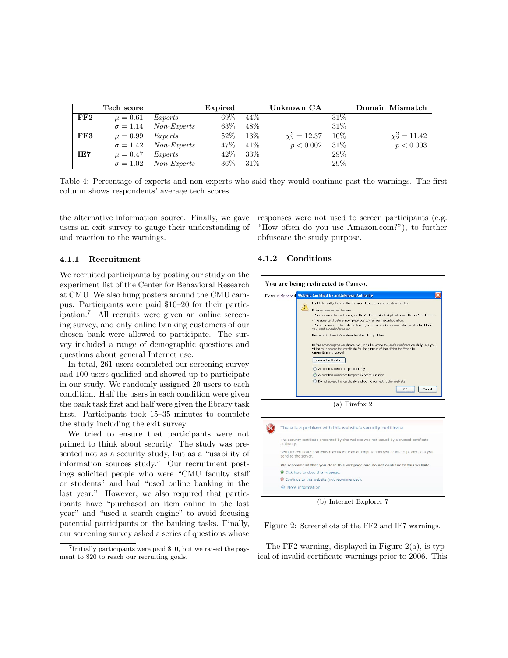|     | Tech score      |               | Expired |      | Unknown CA         |        | Domain Mismatch    |
|-----|-----------------|---------------|---------|------|--------------------|--------|--------------------|
| FF2 | $\mu = 0.61$    | Experts       | 69%     | 44\% |                    | $31\%$ |                    |
|     | $\sigma = 1.14$ | $Non-Express$ | 63%     | 48%  |                    | 31\%   |                    |
| FF3 | $\mu = 0.99$    | Experts       | 52\%    | 13%  | $\chi_2^2 = 12.37$ | 10%    | $\chi_2^2 = 11.42$ |
|     | $\sigma = 1.42$ | Non-Experts   | 47%     | 41\% | p < 0.002          | $31\%$ | p < 0.003          |
| IE7 | $\mu = 0.47$    | Experts       | 42\%    | 33%  |                    | 29\%   |                    |
|     | $\sigma = 1.02$ | Non-Experts   | 36%     | 31\% |                    | 29%    |                    |

Table 4: Percentage of experts and non-experts who said they would continue past the warnings. The first column shows respondents' average tech scores.

the alternative information source. Finally, we gave users an exit survey to gauge their understanding of and reaction to the warnings.

### 4.1.1 Recruitment

We recruited participants by posting our study on the experiment list of the Center for Behavioral Research at CMU. We also hung posters around the CMU campus. Participants were paid \$10–20 for their participation.<sup>7</sup> All recruits were given an online screening survey, and only online banking customers of our chosen bank were allowed to participate. The survey included a range of demographic questions and questions about general Internet use.

In total, 261 users completed our screening survey and 100 users qualified and showed up to participate in our study. We randomly assigned 20 users to each condition. Half the users in each condition were given the bank task first and half were given the library task first. Participants took 15–35 minutes to complete the study including the exit survey.

We tried to ensure that participants were not primed to think about security. The study was presented not as a security study, but as a "usability of information sources study." Our recruitment postings solicited people who were "CMU faculty staff or students" and had "used online banking in the last year." However, we also required that participants have "purchased an item online in the last year" and "used a search engine" to avoid focusing potential participants on the banking tasks. Finally, our screening survey asked a series of questions whose

responses were not used to screen participants (e.g. "How often do you use Amazon.com?"), to further obfuscate the study purpose.

#### 4.1.2 Conditions



(a) Firefox 2



(b) Internet Explorer 7

Figure 2: Screenshots of the FF2 and IE7 warnings.

The FF2 warning, displayed in Figure  $2(a)$ , is typical of invalid certificate warnings prior to 2006. This

<sup>7</sup>Initially participants were paid \$10, but we raised the payment to \$20 to reach our recruiting goals.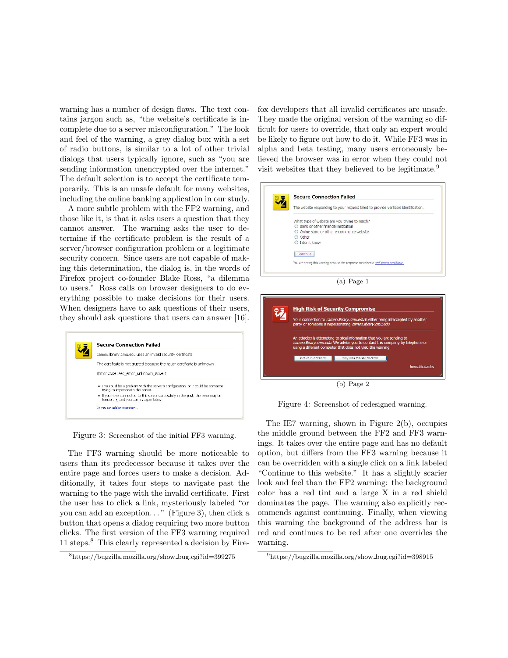warning has a number of design flaws. The text contains jargon such as, "the website's certificate is incomplete due to a server misconfiguration." The look and feel of the warning, a grey dialog box with a set of radio buttons, is similar to a lot of other trivial dialogs that users typically ignore, such as "you are sending information unencrypted over the internet." The default selection is to accept the certificate temporarily. This is an unsafe default for many websites, including the online banking application in our study.

A more subtle problem with the FF2 warning, and those like it, is that it asks users a question that they cannot answer. The warning asks the user to determine if the certificate problem is the result of a server/browser configuration problem or a legitimate security concern. Since users are not capable of making this determination, the dialog is, in the words of Firefox project co-founder Blake Ross, "a dilemma to users." Ross calls on browser designers to do everything possible to make decisions for their users. When designers have to ask questions of their users, they should ask questions that users can answer [16].



Figure 3: Screenshot of the initial FF3 warning.

The FF3 warning should be more noticeable to users than its predecessor because it takes over the entire page and forces users to make a decision. Additionally, it takes four steps to navigate past the warning to the page with the invalid certificate. First the user has to click a link, mysteriously labeled "or you can add an exception. . . " (Figure 3), then click a button that opens a dialog requiring two more button clicks. The first version of the FF3 warning required 11 steps.<sup>8</sup> This clearly represented a decision by Firefox developers that all invalid certificates are unsafe. They made the original version of the warning so difficult for users to override, that only an expert would be likely to figure out how to do it. While FF3 was in alpha and beta testing, many users erroneously believed the browser was in error when they could not visit websites that they believed to be legitimate.<sup>9</sup>





Figure 4: Screenshot of redesigned warning.

The IE7 warning, shown in Figure 2(b), occupies the middle ground between the FF2 and FF3 warnings. It takes over the entire page and has no default option, but differs from the FF3 warning because it can be overridden with a single click on a link labeled "Continue to this website." It has a slightly scarier look and feel than the FF2 warning: the background color has a red tint and a large X in a red shield dominates the page. The warning also explicitly recommends against continuing. Finally, when viewing this warning the background of the address bar is red and continues to be red after one overrides the warning.

<sup>8</sup>https://bugzilla.mozilla.org/show bug.cgi?id=399275

<sup>9</sup>https://bugzilla.mozilla.org/show bug.cgi?id=398915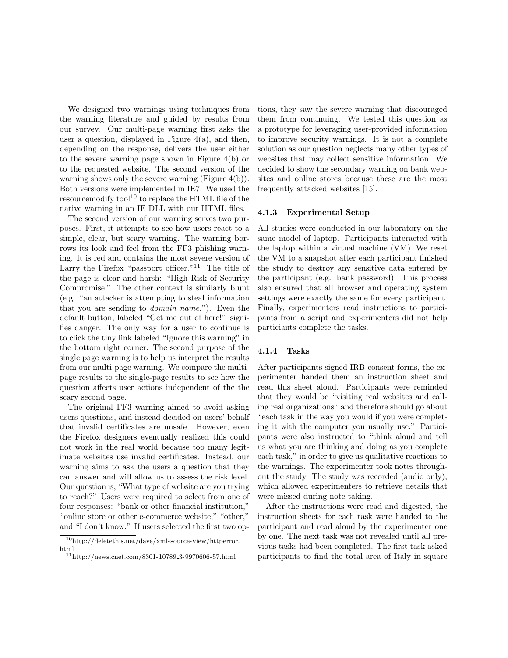We designed two warnings using techniques from the warning literature and guided by results from our survey. Our multi-page warning first asks the user a question, displayed in Figure  $4(a)$ , and then, depending on the response, delivers the user either to the severe warning page shown in Figure 4(b) or to the requested website. The second version of the warning shows only the severe warning (Figure 4(b)). Both versions were implemented in IE7. We used the resource modify tool<sup>10</sup> to replace the HTML file of the native warning in an IE DLL with our HTML files.

The second version of our warning serves two purposes. First, it attempts to see how users react to a simple, clear, but scary warning. The warning borrows its look and feel from the FF3 phishing warning. It is red and contains the most severe version of Larry the Firefox "passport officer."<sup>11</sup> The title of the page is clear and harsh: "High Risk of Security Compromise." The other context is similarly blunt (e.g. "an attacker is attempting to steal information that you are sending to *domain name.*"). Even the default button, labeled "Get me out of here!" signifies danger. The only way for a user to continue is to click the tiny link labeled "Ignore this warning" in the bottom right corner. The second purpose of the single page warning is to help us interpret the results from our multi-page warning. We compare the multipage results to the single-page results to see how the question affects user actions independent of the the scary second page.

The original FF3 warning aimed to avoid asking users questions, and instead decided on users' behalf that invalid certificates are unsafe. However, even the Firefox designers eventually realized this could not work in the real world because too many legitimate websites use invalid certificates. Instead, our warning aims to ask the users a question that they can answer and will allow us to assess the risk level. Our question is, "What type of website are you trying to reach?" Users were required to select from one of four responses: "bank or other financial institution," "online store or other e-commerce website," "other," and "I don't know." If users selected the first two options, they saw the severe warning that discouraged them from continuing. We tested this question as a prototype for leveraging user-provided information to improve security warnings. It is not a complete solution as our question neglects many other types of websites that may collect sensitive information. We decided to show the secondary warning on bank websites and online stores because these are the most frequently attacked websites [15].

#### 4.1.3 Experimental Setup

All studies were conducted in our laboratory on the same model of laptop. Participants interacted with the laptop within a virtual machine (VM). We reset the VM to a snapshot after each participant finished the study to destroy any sensitive data entered by the participant (e.g. bank password). This process also ensured that all browser and operating system settings were exactly the same for every participant. Finally, experimenters read instructions to participants from a script and experimenters did not help particiants complete the tasks.

#### 4.1.4 Tasks

After participants signed IRB consent forms, the experimenter handed them an instruction sheet and read this sheet aloud. Participants were reminded that they would be "visiting real websites and calling real organizations" and therefore should go about "each task in the way you would if you were completing it with the computer you usually use." Participants were also instructed to "think aloud and tell us what you are thinking and doing as you complete each task," in order to give us qualitative reactions to the warnings. The experimenter took notes throughout the study. The study was recorded (audio only), which allowed experimenters to retrieve details that were missed during note taking.

After the instructions were read and digested, the instruction sheets for each task were handed to the participant and read aloud by the experimenter one by one. The next task was not revealed until all previous tasks had been completed. The first task asked participants to find the total area of Italy in square

<sup>10</sup>http://deletethis.net/dave/xml-source-view/httperror. html

 $11$ http://news.cnet.com/8301-10789<sub>-3</sub>-9970606-57.html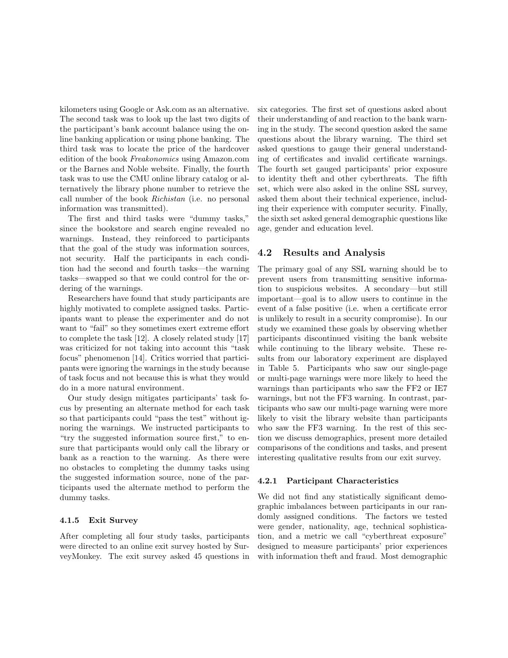kilometers using Google or Ask.com as an alternative. The second task was to look up the last two digits of the participant's bank account balance using the online banking application or using phone banking. The third task was to locate the price of the hardcover edition of the book *Freakonomics* using Amazon.com or the Barnes and Noble website. Finally, the fourth task was to use the CMU online library catalog or alternatively the library phone number to retrieve the call number of the book *Richistan* (i.e. no personal information was transmitted).

The first and third tasks were "dummy tasks," since the bookstore and search engine revealed no warnings. Instead, they reinforced to participants that the goal of the study was information sources, not security. Half the participants in each condition had the second and fourth tasks—the warning tasks—swapped so that we could control for the ordering of the warnings.

Researchers have found that study participants are highly motivated to complete assigned tasks. Participants want to please the experimenter and do not want to "fail" so they sometimes exert extreme effort to complete the task [12]. A closely related study [17] was criticized for not taking into account this "task focus" phenomenon [14]. Critics worried that participants were ignoring the warnings in the study because of task focus and not because this is what they would do in a more natural environment.

Our study design mitigates participants' task focus by presenting an alternate method for each task so that participants could "pass the test" without ignoring the warnings. We instructed participants to "try the suggested information source first," to ensure that participants would only call the library or bank as a reaction to the warning. As there were no obstacles to completing the dummy tasks using the suggested information source, none of the participants used the alternate method to perform the dummy tasks.

### 4.1.5 Exit Survey

After completing all four study tasks, participants were directed to an online exit survey hosted by SurveyMonkey. The exit survey asked 45 questions in

six categories. The first set of questions asked about their understanding of and reaction to the bank warning in the study. The second question asked the same questions about the library warning. The third set asked questions to gauge their general understanding of certificates and invalid certificate warnings. The fourth set gauged participants' prior exposure to identity theft and other cyberthreats. The fifth set, which were also asked in the online SSL survey, asked them about their technical experience, including their experience with computer security. Finally, the sixth set asked general demographic questions like age, gender and education level.

### 4.2 Results and Analysis

The primary goal of any SSL warning should be to prevent users from transmitting sensitive information to suspicious websites. A secondary—but still important—goal is to allow users to continue in the event of a false positive (i.e. when a certificate error is unlikely to result in a security compromise). In our study we examined these goals by observing whether participants discontinued visiting the bank website while continuing to the library website. These results from our laboratory experiment are displayed in Table 5. Participants who saw our single-page or multi-page warnings were more likely to heed the warnings than participants who saw the FF2 or IE7 warnings, but not the FF3 warning. In contrast, participants who saw our multi-page warning were more likely to visit the library website than participants who saw the FF3 warning. In the rest of this section we discuss demographics, present more detailed comparisons of the conditions and tasks, and present interesting qualitative results from our exit survey.

#### 4.2.1 Participant Characteristics

We did not find any statistically significant demographic imbalances between participants in our randomly assigned conditions. The factors we tested were gender, nationality, age, technical sophistication, and a metric we call "cyberthreat exposure" designed to measure participants' prior experiences with information theft and fraud. Most demographic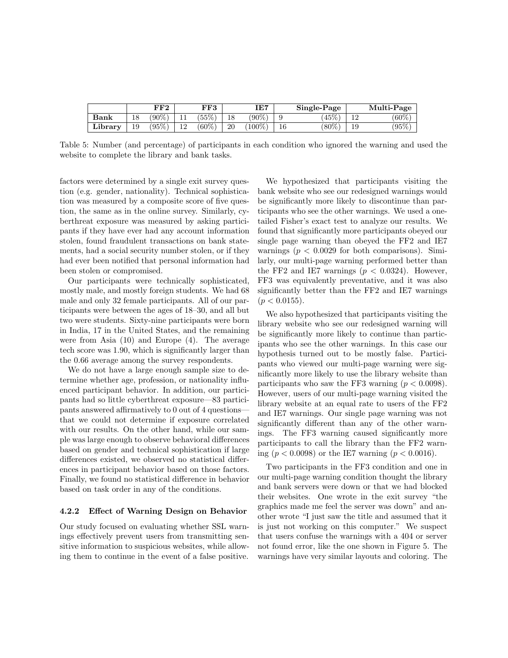|              |    | FF2    |           | $_{\rm FF3}$ |    | IE7     |    | Single-Page |     | Multi-Page |
|--------------|----|--------|-----------|--------------|----|---------|----|-------------|-----|------------|
| ${\bf Bank}$ |    | $90\%$ | ᆠ         | $55\%$       |    | $(90\%$ |    | 45%         | 1 ດ | $(60\%)$   |
| Library      | 19 | $95\%$ | 1 ດ<br>∸∸ | $(60\%)$     | 20 | 100%    | 16 | $(80\%)$    | 19  | $(95\%)$   |

Table 5: Number (and percentage) of participants in each condition who ignored the warning and used the website to complete the library and bank tasks.

factors were determined by a single exit survey question (e.g. gender, nationality). Technical sophistication was measured by a composite score of five question, the same as in the online survey. Similarly, cyberthreat exposure was measured by asking participants if they have ever had any account information stolen, found fraudulent transactions on bank statements, had a social security number stolen, or if they had ever been notified that personal information had been stolen or compromised.

Our participants were technically sophisticated, mostly male, and mostly foreign students. We had 68 male and only 32 female participants. All of our participants were between the ages of 18–30, and all but two were students. Sixty-nine participants were born in India, 17 in the United States, and the remaining were from Asia (10) and Europe (4). The average tech score was 1.90, which is significantly larger than the 0.66 average among the survey respondents.

We do not have a large enough sample size to determine whether age, profession, or nationality influenced participant behavior. In addition, our participants had so little cyberthreat exposure—83 participants answered affirmatively to 0 out of 4 questions that we could not determine if exposure correlated with our results. On the other hand, while our sample was large enough to observe behavioral differences based on gender and technical sophistication if large differences existed, we observed no statistical differences in participant behavior based on those factors. Finally, we found no statistical difference in behavior based on task order in any of the conditions.

#### 4.2.2 Effect of Warning Design on Behavior

Our study focused on evaluating whether SSL warnings effectively prevent users from transmitting sensitive information to suspicious websites, while allowing them to continue in the event of a false positive.

We hypothesized that participants visiting the bank website who see our redesigned warnings would be significantly more likely to discontinue than participants who see the other warnings. We used a onetailed Fisher's exact test to analyze our results. We found that significantly more participants obeyed our single page warning than obeyed the FF2 and IE7 warnings ( $p < 0.0029$  for both comparisons). Similarly, our multi-page warning performed better than the FF2 and IE7 warnings  $(p < 0.0324)$ . However, FF3 was equivalently preventative, and it was also significantly better than the FF2 and IE7 warnings  $(p < 0.0155)$ .

We also hypothesized that participants visiting the library website who see our redesigned warning will be significantly more likely to continue than participants who see the other warnings. In this case our hypothesis turned out to be mostly false. Participants who viewed our multi-page warning were significantly more likely to use the library website than participants who saw the FF3 warning  $(p < 0.0098)$ . However, users of our multi-page warning visited the library website at an equal rate to users of the FF2 and IE7 warnings. Our single page warning was not significantly different than any of the other warnings. The FF3 warning caused significantly more participants to call the library than the FF2 warning ( $p < 0.0098$ ) or the IE7 warning ( $p < 0.0016$ ).

Two participants in the FF3 condition and one in our multi-page warning condition thought the library and bank servers were down or that we had blocked their websites. One wrote in the exit survey "the graphics made me feel the server was down" and another wrote "I just saw the title and assumed that it is just not working on this computer." We suspect that users confuse the warnings with a 404 or server not found error, like the one shown in Figure 5. The warnings have very similar layouts and coloring. The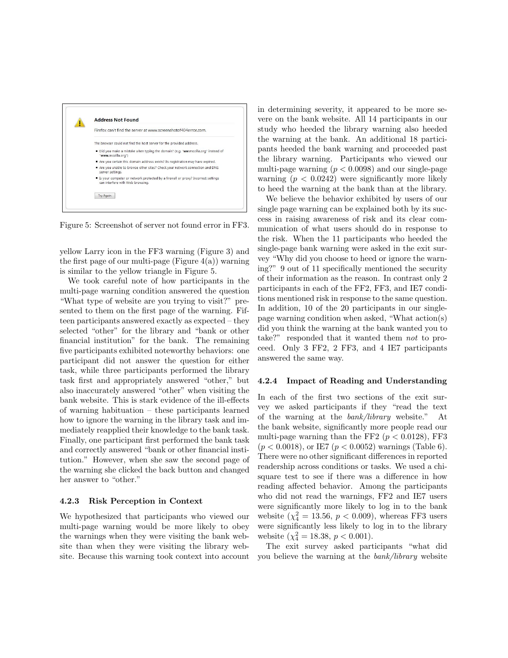

Figure 5: Screenshot of server not found error in FF3.

yellow Larry icon in the FF3 warning (Figure 3) and the first page of our multi-page (Figure  $4(a)$ ) warning is similar to the yellow triangle in Figure 5.

We took careful note of how participants in the multi-page warning condition answered the question "What type of website are you trying to visit?" presented to them on the first page of the warning. Fifteen participants answered exactly as expected – they selected "other" for the library and "bank or other financial institution" for the bank. The remaining five participants exhibited noteworthy behaviors: one participant did not answer the question for either task, while three participants performed the library task first and appropriately answered "other," but also inaccurately answered "other" when visiting the bank website. This is stark evidence of the ill-effects of warning habituation – these participants learned how to ignore the warning in the library task and immediately reapplied their knowledge to the bank task. Finally, one participant first performed the bank task and correctly answered "bank or other financial institution." However, when she saw the second page of the warning she clicked the back button and changed her answer to "other."

#### 4.2.3 Risk Perception in Context

We hypothesized that participants who viewed our multi-page warning would be more likely to obey the warnings when they were visiting the bank website than when they were visiting the library website. Because this warning took context into account in determining severity, it appeared to be more severe on the bank website. All 14 participants in our study who heeded the library warning also heeded the warning at the bank. An additional 18 participants heeded the bank warning and proceeded past the library warning. Participants who viewed our multi-page warning  $(p < 0.0098)$  and our single-page warning  $(p < 0.0242)$  were significantly more likely to heed the warning at the bank than at the library.

We believe the behavior exhibited by users of our single page warning can be explained both by its success in raising awareness of risk and its clear communication of what users should do in response to the risk. When the 11 participants who heeded the single-page bank warning were asked in the exit survey "Why did you choose to heed or ignore the warning?" 9 out of 11 specifically mentioned the security of their information as the reason. In contrast only 2 participants in each of the FF2, FF3, and IE7 conditions mentioned risk in response to the same question. In addition, 10 of the 20 participants in our singlepage warning condition when asked, "What action(s) did you think the warning at the bank wanted you to take?" responded that it wanted them *not* to proceed. Only 3 FF2, 2 FF3, and 4 IE7 participants answered the same way.

#### 4.2.4 Impact of Reading and Understanding

In each of the first two sections of the exit survey we asked participants if they "read the text of the warning at the *bank/library* website." At the bank website, significantly more people read our multi-page warning than the FF2 ( $p < 0.0128$ ), FF3  $(p < 0.0018)$ , or IE7  $(p < 0.0052)$  warnings (Table 6). There were no other significant differences in reported readership across conditions or tasks. We used a chisquare test to see if there was a difference in how reading affected behavior. Among the participants who did not read the warnings, FF2 and IE7 users were significantly more likely to log in to the bank website  $(\chi^2_4 = 13.56, p < 0.009)$ , whereas FF3 users were significantly less likely to log in to the library website  $(\chi^2_4 = 18.38, p < 0.001)$ .

The exit survey asked participants "what did you believe the warning at the *bank/library* website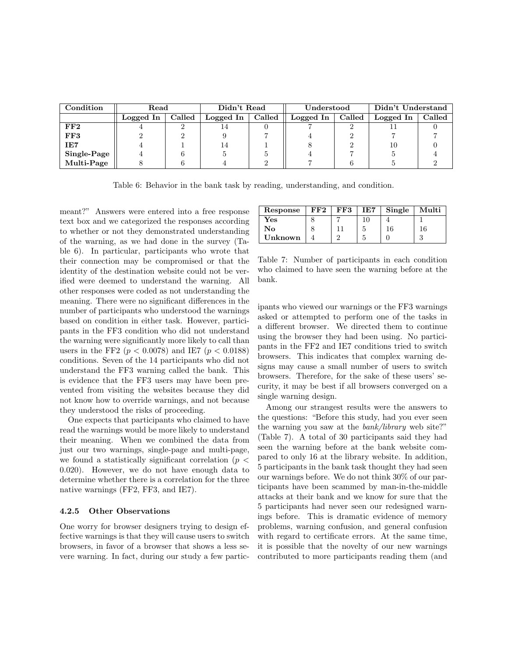| Condition    | Read      |        | Didn't Read |        | Understood |        | Didn't Understand |        |  |
|--------------|-----------|--------|-------------|--------|------------|--------|-------------------|--------|--|
|              | Logged In | Called | Logged In   | Called | Logged In  | Called | Logged In         | Called |  |
| $_{\rm FF2}$ |           |        |             |        |            |        |                   |        |  |
| FF3          |           |        |             |        |            |        |                   |        |  |
| IE7          |           |        | 14          |        |            |        | 10                |        |  |
| Single-Page  |           |        |             |        |            |        |                   |        |  |
| Multi-Page   |           |        |             |        |            |        |                   |        |  |

Table 6: Behavior in the bank task by reading, understanding, and condition.

meant?" Answers were entered into a free response text box and we categorized the responses according to whether or not they demonstrated understanding of the warning, as we had done in the survey (Table 6). In particular, participants who wrote that their connection may be compromised or that the identity of the destination website could not be verified were deemed to understand the warning. All other responses were coded as not understanding the meaning. There were no significant differences in the number of participants who understood the warnings based on condition in either task. However, participants in the FF3 condition who did not understand the warning were significantly more likely to call than users in the FF2 ( $p < 0.0078$ ) and IE7 ( $p < 0.0188$ ) conditions. Seven of the 14 participants who did not understand the FF3 warning called the bank. This is evidence that the FF3 users may have been prevented from visiting the websites because they did not know how to override warnings, and not because they understood the risks of proceeding.

One expects that participants who claimed to have read the warnings would be more likely to understand their meaning. When we combined the data from just our two warnings, single-page and multi-page, we found a statistically significant correlation ( $p <$ 0.020). However, we do not have enough data to determine whether there is a correlation for the three native warnings (FF2, FF3, and IE7).

### 4.2.5 Other Observations

One worry for browser designers trying to design effective warnings is that they will cause users to switch browsers, in favor of a browser that shows a less severe warning. In fact, during our study a few partic-

| Response | ${\rm FF2}$ | FF3 | IE7 | Single | Multi |
|----------|-------------|-----|-----|--------|-------|
| Yes      |             |     |     |        |       |
| No       |             |     |     | 16     | 16    |
| Unknown  |             |     |     |        |       |

Table 7: Number of participants in each condition who claimed to have seen the warning before at the bank.

ipants who viewed our warnings or the FF3 warnings asked or attempted to perform one of the tasks in a different browser. We directed them to continue using the browser they had been using. No participants in the FF2 and IE7 conditions tried to switch browsers. This indicates that complex warning designs may cause a small number of users to switch browsers. Therefore, for the sake of these users' security, it may be best if all browsers converged on a single warning design.

Among our strangest results were the answers to the questions: "Before this study, had you ever seen the warning you saw at the *bank/library* web site?" (Table 7). A total of 30 participants said they had seen the warning before at the bank website compared to only 16 at the library website. In addition, 5 participants in the bank task thought they had seen our warnings before. We do not think 30% of our participants have been scammed by man-in-the-middle attacks at their bank and we know for sure that the 5 participants had never seen our redesigned warnings before. This is dramatic evidence of memory problems, warning confusion, and general confusion with regard to certificate errors. At the same time, it is possible that the novelty of our new warnings contributed to more participants reading them (and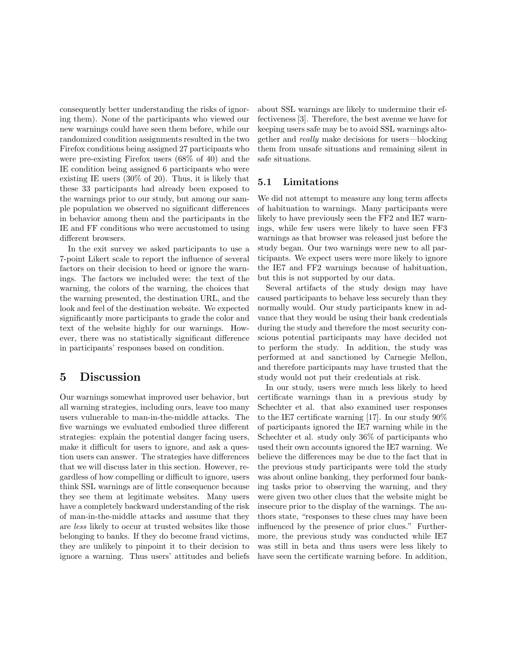consequently better understanding the risks of ignoring them). None of the participants who viewed our new warnings could have seen them before, while our randomized condition assignments resulted in the two Firefox conditions being assigned 27 participants who were pre-existing Firefox users (68% of 40) and the IE condition being assigned 6 participants who were existing IE users (30% of 20). Thus, it is likely that these 33 participants had already been exposed to the warnings prior to our study, but among our sample population we observed no significant differences in behavior among them and the participants in the IE and FF conditions who were accustomed to using different browsers.

In the exit survey we asked participants to use a 7-point Likert scale to report the influence of several factors on their decision to heed or ignore the warnings. The factors we included were: the text of the warning, the colors of the warning, the choices that the warning presented, the destination URL, and the look and feel of the destination website. We expected significantly more participants to grade the color and text of the website highly for our warnings. However, there was no statistically significant difference in participants' responses based on condition.

# 5 Discussion

Our warnings somewhat improved user behavior, but all warning strategies, including ours, leave too many users vulnerable to man-in-the-middle attacks. The five warnings we evaluated embodied three different strategies: explain the potential danger facing users, make it difficult for users to ignore, and ask a question users can answer. The strategies have differences that we will discuss later in this section. However, regardless of how compelling or difficult to ignore, users think SSL warnings are of little consequence because they see them at legitimate websites. Many users have a completely backward understanding of the risk of man-in-the-middle attacks and assume that they are *less* likely to occur at trusted websites like those belonging to banks. If they do become fraud victims, they are unlikely to pinpoint it to their decision to ignore a warning. Thus users' attitudes and beliefs about SSL warnings are likely to undermine their effectiveness [3]. Therefore, the best avenue we have for keeping users safe may be to avoid SSL warnings altogether and *really* make decisions for users—blocking them from unsafe situations and remaining silent in safe situations.

# 5.1 Limitations

We did not attempt to measure any long term affects of habituation to warnings. Many participants were likely to have previously seen the FF2 and IE7 warnings, while few users were likely to have seen FF3 warnings as that browser was released just before the study began. Our two warnings were new to all participants. We expect users were more likely to ignore the IE7 and FF2 warnings because of habituation, but this is not supported by our data.

Several artifacts of the study design may have caused participants to behave less securely than they normally would. Our study participants knew in advance that they would be using their bank credentials during the study and therefore the most security conscious potential participants may have decided not to perform the study. In addition, the study was performed at and sanctioned by Carnegie Mellon, and therefore participants may have trusted that the study would not put their credentials at risk.

In our study, users were much less likely to heed certificate warnings than in a previous study by Schechter et al. that also examined user responses to the IE7 certificate warning [17]. In our study 90% of participants ignored the IE7 warning while in the Schechter et al. study only 36% of participants who used their own accounts ignored the IE7 warning. We believe the differences may be due to the fact that in the previous study participants were told the study was about online banking, they performed four banking tasks prior to observing the warning, and they were given two other clues that the website might be insecure prior to the display of the warnings. The authors state, "responses to these clues may have been influenced by the presence of prior clues." Furthermore, the previous study was conducted while IE7 was still in beta and thus users were less likely to have seen the certificate warning before. In addition,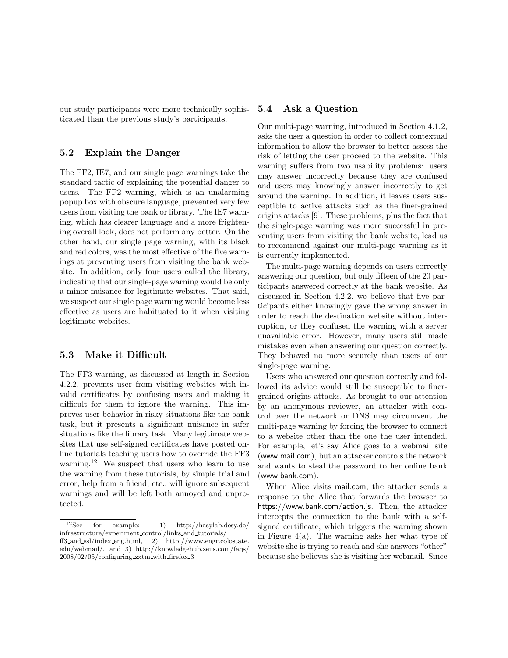our study participants were more technically sophisticated than the previous study's participants.

### 5.2 Explain the Danger

The FF2, IE7, and our single page warnings take the standard tactic of explaining the potential danger to users. The FF2 warning, which is an unalarming popup box with obscure language, prevented very few users from visiting the bank or library. The IE7 warning, which has clearer language and a more frightening overall look, does not perform any better. On the other hand, our single page warning, with its black and red colors, was the most effective of the five warnings at preventing users from visiting the bank website. In addition, only four users called the library, indicating that our single-page warning would be only a minor nuisance for legitimate websites. That said, we suspect our single page warning would become less effective as users are habituated to it when visiting legitimate websites.

## 5.3 Make it Difficult

The FF3 warning, as discussed at length in Section 4.2.2, prevents user from visiting websites with invalid certificates by confusing users and making it difficult for them to ignore the warning. This improves user behavior in risky situations like the bank task, but it presents a significant nuisance in safer situations like the library task. Many legitimate websites that use self-signed certificates have posted online tutorials teaching users how to override the FF3 warning.<sup>12</sup> We suspect that users who learn to use the warning from these tutorials, by simple trial and error, help from a friend, etc., will ignore subsequent warnings and will be left both annoyed and unprotected.

### 5.4 Ask a Question

Our multi-page warning, introduced in Section 4.1.2, asks the user a question in order to collect contextual information to allow the browser to better assess the risk of letting the user proceed to the website. This warning suffers from two usability problems: users may answer incorrectly because they are confused and users may knowingly answer incorrectly to get around the warning. In addition, it leaves users susceptible to active attacks such as the finer-grained origins attacks [9]. These problems, plus the fact that the single-page warning was more successful in preventing users from visiting the bank website, lead us to recommend against our multi-page warning as it is currently implemented.

The multi-page warning depends on users correctly answering our question, but only fifteen of the 20 participants answered correctly at the bank website. As discussed in Section 4.2.2, we believe that five participants either knowingly gave the wrong answer in order to reach the destination website without interruption, or they confused the warning with a server unavailable error. However, many users still made mistakes even when answering our question correctly. They behaved no more securely than users of our single-page warning.

Users who answered our question correctly and followed its advice would still be susceptible to finergrained origins attacks. As brought to our attention by an anonymous reviewer, an attacker with control over the network or DNS may circumvent the multi-page warning by forcing the browser to connect to a website other than the one the user intended. For example, let's say Alice goes to a webmail site (www.mail.com), but an attacker controls the network and wants to steal the password to her online bank (www.bank.com).

When Alice visits mail.com, the attacker sends a response to the Alice that forwards the browser to https://www.bank.com/action.js. Then, the attacker intercepts the connection to the bank with a selfsigned certificate, which triggers the warning shown in Figure  $4(a)$ . The warning asks her what type of website she is trying to reach and she answers "other" because she believes she is visiting her webmail. Since

<sup>12</sup>See for example: 1) http://hasylab.desy.de/ infrastructure/experiment control/links and tutorials/ ff3 and ssl/index eng.html, 2) http://www.engr.colostate.

edu/webmail/, and 3) http://knowledgehub.zeus.com/faqs/ 2008/02/05/configuring zxtm with firefox 3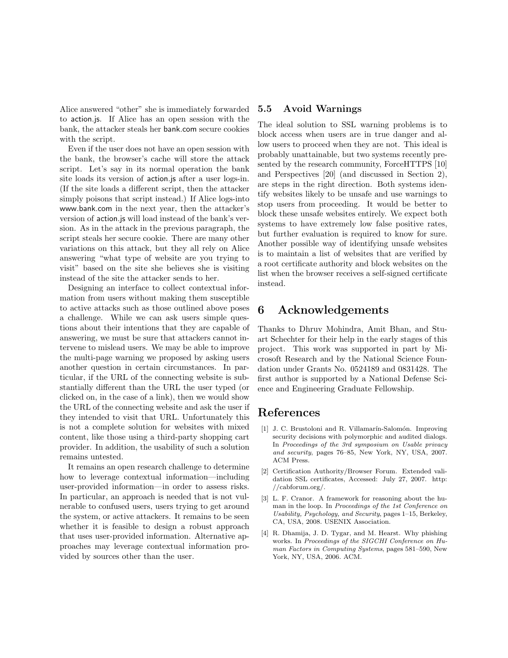Alice answered "other" she is immediately forwarded to action.js. If Alice has an open session with the bank, the attacker steals her bank.com secure cookies with the script.

Even if the user does not have an open session with the bank, the browser's cache will store the attack script. Let's say in its normal operation the bank site loads its version of action.js after a user logs-in. (If the site loads a different script, then the attacker simply poisons that script instead.) If Alice logs-into www.bank.com in the next year, then the attacker's version of action.js will load instead of the bank's version. As in the attack in the previous paragraph, the script steals her secure cookie. There are many other variations on this attack, but they all rely on Alice answering "what type of website are you trying to visit" based on the site she believes she is visiting instead of the site the attacker sends to her.

Designing an interface to collect contextual information from users without making them susceptible to active attacks such as those outlined above poses a challenge. While we can ask users simple questions about their intentions that they are capable of answering, we must be sure that attackers cannot intervene to mislead users. We may be able to improve the multi-page warning we proposed by asking users another question in certain circumstances. In particular, if the URL of the connecting website is substantially different than the URL the user typed (or clicked on, in the case of a link), then we would show the URL of the connecting website and ask the user if they intended to visit that URL. Unfortunately this is not a complete solution for websites with mixed content, like those using a third-party shopping cart provider. In addition, the usability of such a solution remains untested.

It remains an open research challenge to determine how to leverage contextual information—including user-provided information—in order to assess risks. In particular, an approach is needed that is not vulnerable to confused users, users trying to get around the system, or active attackers. It remains to be seen whether it is feasible to design a robust approach that uses user-provided information. Alternative approaches may leverage contextual information provided by sources other than the user.

### 5.5 Avoid Warnings

The ideal solution to SSL warning problems is to block access when users are in true danger and allow users to proceed when they are not. This ideal is probably unattainable, but two systems recently presented by the research community, ForceHTTPS [10] and Perspectives [20] (and discussed in Section 2), are steps in the right direction. Both systems identify websites likely to be unsafe and use warnings to stop users from proceeding. It would be better to block these unsafe websites entirely. We expect both systems to have extremely low false positive rates, but further evaluation is required to know for sure. Another possible way of identifying unsafe websites is to maintain a list of websites that are verified by a root certificate authority and block websites on the list when the browser receives a self-signed certificate instead.

# 6 Acknowledgements

Thanks to Dhruv Mohindra, Amit Bhan, and Stuart Schechter for their help in the early stages of this project. This work was supported in part by Microsoft Research and by the National Science Foundation under Grants No. 0524189 and 0831428. The first author is supported by a National Defense Science and Engineering Graduate Fellowship.

# References

- [1] J. C. Brustoloni and R. Villamarín-Salomón. Improving security decisions with polymorphic and audited dialogs. In *Proceedings of the 3rd symposium on Usable privacy and security*, pages 76–85, New York, NY, USA, 2007. ACM Press.
- [2] Certification Authority/Browser Forum. Extended validation SSL certificates, Accessed: July 27, 2007. http: //cabforum.org/.
- [3] L. F. Cranor. A framework for reasoning about the human in the loop. In *Proceedings of the 1st Conference on Usability, Psychology, and Security*, pages 1–15, Berkeley, CA, USA, 2008. USENIX Association.
- [4] R. Dhamija, J. D. Tygar, and M. Hearst. Why phishing works. In *Proceedings of the SIGCHI Conference on Human Factors in Computing Systems*, pages 581–590, New York, NY, USA, 2006. ACM.